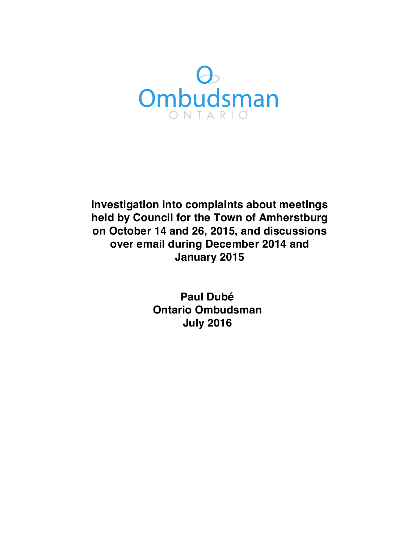

 **Investigation into complaints about meetings held by Council for the Town of Amherstburg on October 14 and 26, 2015, and discussions over email during December 2014 and January 2015**

> **Ontario Ombudsman Paul Dubé July 2016**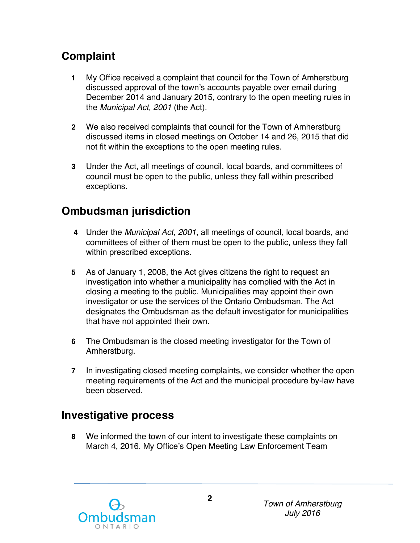# **Complaint**

- **1** My Office received a complaint that council for the Town of Amherstburg discussed approval of the town's accounts payable over email during December 2014 and January 2015, contrary to the open meeting rules in  the *Municipal Act, 2001* (the Act).
- **2** We also received complaints that council for the Town of Amherstburg discussed items in closed meetings on October 14 and 26, 2015 that did not fit within the exceptions to the open meeting rules.
- **3** Under the Act, all meetings of council, local boards, and committees of council must be open to the public, unless they fall within prescribed exceptions.

# **Ombudsman jurisdiction**

- **4** Under the *Municipal Act, 2001*, all meetings of council, local boards, and committees of either of them must be open to the public, unless they fall within prescribed exceptions.
- **5** As of January 1, 2008, the Act gives citizens the right to request an investigation into whether a municipality has complied with the Act in closing a meeting to the public. Municipalities may appoint their own investigator or use the services of the Ontario Ombudsman. The Act designates the Ombudsman as the default investigator for municipalities that have not appointed their own.
- **6** The Ombudsman is the closed meeting investigator for the Town of Amherstburg.
- **7** In investigating closed meeting complaints, we consider whether the open meeting requirements of the Act and the municipal procedure by-law have been observed.

## **Investigative process**

 **8** We informed the town of our intent to investigate these complaints on March 4, 2016. My Office's Open Meeting Law Enforcement Team

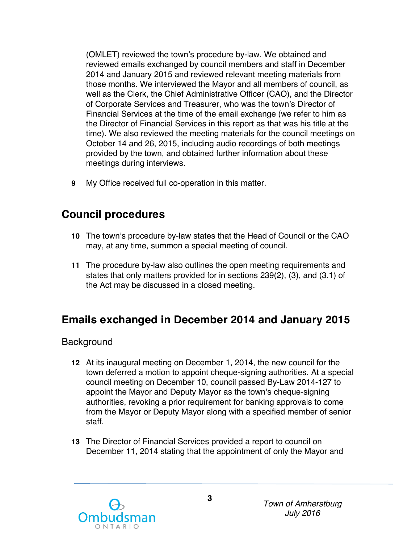(OMLET) reviewed the town's procedure by-law. We obtained and reviewed emails exchanged by council members and staff in December 2014 and January 2015 and reviewed relevant meeting materials from those months. We interviewed the Mayor and all members of council, as well as the Clerk, the Chief Administrative Officer (CAO), and the Director of Corporate Services and Treasurer, who was the town's Director of Financial Services at the time of the email exchange (we refer to him as the Director of Financial Services in this report as that was his title at the time). We also reviewed the meeting materials for the council meetings on October 14 and 26, 2015, including audio recordings of both meetings provided by the town, and obtained further information about these meetings during interviews.

**9** My Office received full co-operation in this matter.

## **Council procedures**

- **10** The town's procedure by-law states that the Head of Council or the CAO may, at any time, summon a special meeting of council.
- **11** The procedure by-law also outlines the open meeting requirements and states that only matters provided for in sections 239(2), (3), and (3.1) of the Act may be discussed in a closed meeting.

## **Emails exchanged in December 2014 and January 2015**

**Background** 

- **12** At its inaugural meeting on December 1, 2014, the new council for the town deferred a motion to appoint cheque-signing authorities. At a special council meeting on December 10, council passed By-Law 2014-127 to appoint the Mayor and Deputy Mayor as the town's cheque-signing authorities, revoking a prior requirement for banking approvals to come from the Mayor or Deputy Mayor along with a specified member of senior staff.
- **13** The Director of Financial Services provided a report to council on December 11, 2014 stating that the appointment of only the Mayor and

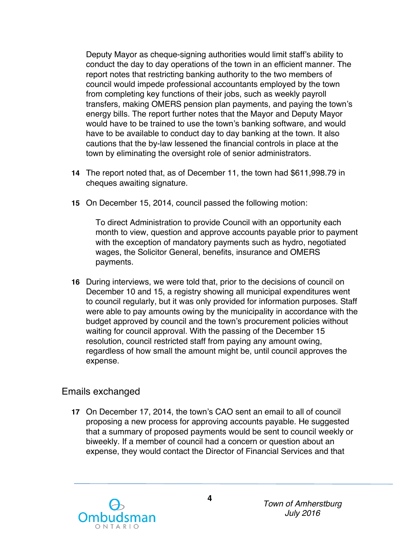Deputy Mayor as cheque-signing authorities would limit staff's ability to conduct the day to day operations of the town in an efficient manner. The report notes that restricting banking authority to the two members of council would impede professional accountants employed by the town from completing key functions of their jobs, such as weekly payroll transfers, making OMERS pension plan payments, and paying the town's energy bills. The report further notes that the Mayor and Deputy Mayor would have to be trained to use the town's banking software, and would have to be available to conduct day to day banking at the town. It also cautions that the by-law lessened the financial controls in place at the town by eliminating the oversight role of senior administrators.

- **14** The report noted that, as of December 11, the town had \$611,998.79 in cheques awaiting signature.
- **15** On December 15, 2014, council passed the following motion:

 To direct Administration to provide Council with an opportunity each month to view, question and approve accounts payable prior to payment with the exception of mandatory payments such as hydro, negotiated wages, the Solicitor General, benefits, insurance and OMERS payments.

 **16** During interviews, we were told that, prior to the decisions of council on December 10 and 15, a registry showing all municipal expenditures went to council regularly, but it was only provided for information purposes. Staff were able to pay amounts owing by the municipality in accordance with the budget approved by council and the town's procurement policies without waiting for council approval. With the passing of the December 15 resolution, council restricted staff from paying any amount owing, regardless of how small the amount might be, until council approves the expense.

### Emails exchanged

 **17** On December 17, 2014, the town's CAO sent an email to all of council proposing a new process for approving accounts payable. He suggested that a summary of proposed payments would be sent to council weekly or biweekly. If a member of council had a concern or question about an expense, they would contact the Director of Financial Services and that

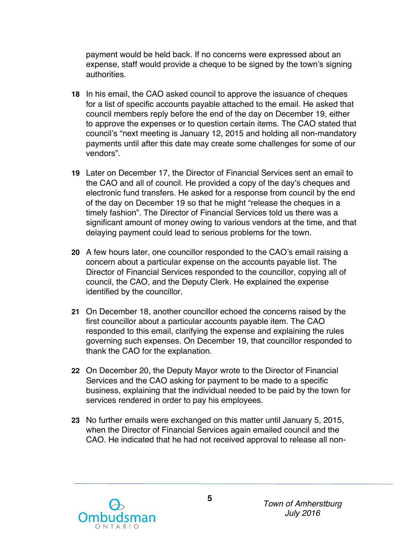payment would be held back. If no concerns were expressed about an expense, staff would provide a cheque to be signed by the town's signing authorities.

- **18** In his email, the CAO asked council to approve the issuance of cheques for a list of specific accounts payable attached to the email. He asked that council members reply before the end of the day on December 19, either to approve the expenses or to question certain items. The CAO stated that council's "next meeting is January 12, 2015 and holding all non-mandatory payments until after this date may create some challenges for some of our vendors".
- **19** Later on December 17, the Director of Financial Services sent an email to the CAO and all of council. He provided a copy of the day's cheques and electronic fund transfers. He asked for a response from council by the end of the day on December 19 so that he might "release the cheques in a timely fashion". The Director of Financial Services told us there was a significant amount of money owing to various vendors at the time, and that delaying payment could lead to serious problems for the town.
- **20** A few hours later, one councillor responded to the CAO's email raising a concern about a particular expense on the accounts payable list. The Director of Financial Services responded to the councillor, copying all of council, the CAO, and the Deputy Clerk. He explained the expense identified by the councillor.
- **21** On December 18, another councillor echoed the concerns raised by the first councillor about a particular accounts payable item. The CAO responded to this email, clarifying the expense and explaining the rules governing such expenses. On December 19, that councillor responded to thank the CAO for the explanation.
- **22** On December 20, the Deputy Mayor wrote to the Director of Financial Services and the CAO asking for payment to be made to a specific business, explaining that the individual needed to be paid by the town for services rendered in order to pay his employees.
- **23** No further emails were exchanged on this matter until January 5, 2015, when the Director of Financial Services again emailed council and the CAO. He indicated that he had not received approval to release all non-

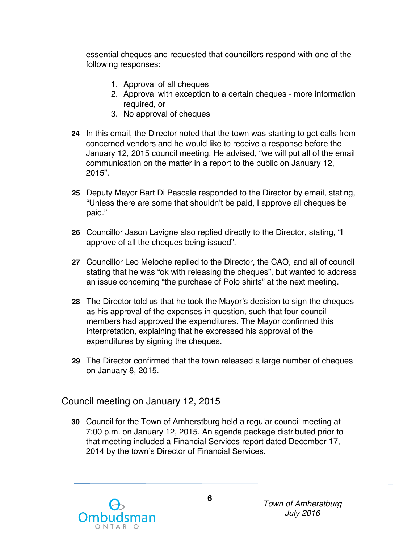essential cheques and requested that councillors respond with one of the following responses:

- 1. Approval of all cheques
- 2. Approval with exception to a certain cheques more information required, or
- 3. No approval of cheques
- **24** In this email, the Director noted that the town was starting to get calls from concerned vendors and he would like to receive a response before the January 12, 2015 council meeting. He advised, "we will put all of the email communication on the matter in a report to the public on January 12, 2015".
- **25** Deputy Mayor Bart Di Pascale responded to the Director by email, stating, "Unless there are some that shouldn't be paid, I approve all cheques be paid."
- **26** Councillor Jason Lavigne also replied directly to the Director, stating, "I approve of all the cheques being issued".
- **27** Councillor Leo Meloche replied to the Director, the CAO, and all of council stating that he was "ok with releasing the cheques", but wanted to address an issue concerning "the purchase of Polo shirts" at the next meeting.
- **28** The Director told us that he took the Mayor's decision to sign the cheques as his approval of the expenses in question, such that four council members had approved the expenditures. The Mayor confirmed this interpretation, explaining that he expressed his approval of the expenditures by signing the cheques.
- **29** The Director confirmed that the town released a large number of cheques on January 8, 2015.

Council meeting on January 12, 2015

 **30** Council for the Town of Amherstburg held a regular council meeting at 7:00 p.m. on January 12, 2015. An agenda package distributed prior to that meeting included a Financial Services report dated December 17, 2014 by the town's Director of Financial Services.

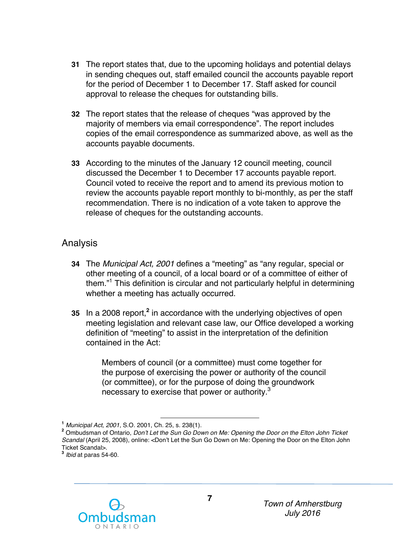- **31** The report states that, due to the upcoming holidays and potential delays in sending cheques out, staff emailed council the accounts payable report for the period of December 1 to December 17. Staff asked for council approval to release the cheques for outstanding bills.
- **32** The report states that the release of cheques "was approved by the majority of members via email correspondence". The report includes copies of the email correspondence as summarized above, as well as the accounts payable documents.
- **33** According to the minutes of the January 12 council meeting, council discussed the December 1 to December 17 accounts payable report. Council voted to receive the report and to amend its previous motion to review the accounts payable report monthly to bi-monthly, as per the staff recommendation. There is no indication of a vote taken to approve the release of cheques for the outstanding accounts.

### Analysis

- **34** The *Municipal Act, 2001* defines a "meeting" as "any regular, special or other meeting of a council, of a local board or of a committee of either of them."<sup>1</sup> This definition is circular and not particularly helpful in determining whether a meeting has actually occurred.
- **35** In a 2008 report,**<sup>2</sup>**in accordance with the underlying objectives of open meeting legislation and relevant case law, our Office developed a working definition of "meeting" to assist in the interpretation of the definition contained in the Act:

 Members of council (or a committee) must come together for the purpose of exercising the power or authority of the council (or committee), or for the purpose of doing the groundwork necessary to exercise that power or authority. $^3$ 



 **<sup>1</sup>***Municipal Act, 2001*, S.O. 2001, Ch. 25, s. 238(1).

**<sup>&</sup>lt;sup>1</sup> Municipal Act, 2001, S.O. 2001, Ch. 25, s. 238(1).**<br><sup>2</sup> Ombudsman of Ontario, *Don't Let the Sun Go Down on Me: Opening the Door on the Elton John Ticket Scandal* (April 25, 2008), online: <Don't Let the Sun Go Down on Me: Opening the Door on the Elton John **<sup>3</sup>***Ibid* at paras 54-60. Ticket Scandal>.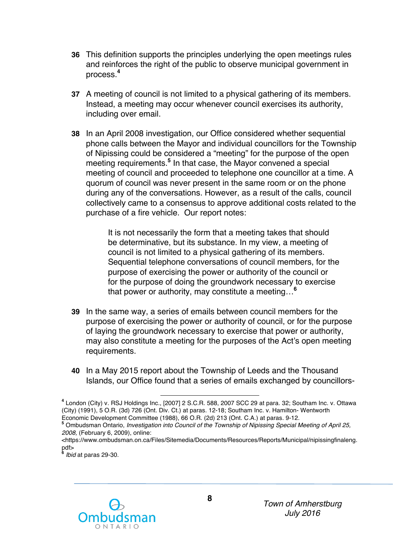- **36** This definition supports the principles underlying the open meetings rules and reinforces the right of the public to observe municipal government in process.**<sup>4</sup>**
- **37** A meeting of council is not limited to a physical gathering of its members. Instead, a meeting may occur whenever council exercises its authority, including over email.
- **38** In an April 2008 investigation, our Office considered whether sequential phone calls between the Mayor and individual councillors for the Township of Nipissing could be considered a "meeting" for the purpose of the open meeting requirements.**<sup>5</sup>**In that case, the Mayor convened a special meeting of council and proceeded to telephone one councillor at a time. A quorum of council was never present in the same room or on the phone during any of the conversations. However, as a result of the calls, council collectively came to a consensus to approve additional costs related to the purchase of a fire vehicle. Our report notes:

 It is not necessarily the form that a meeting takes that should be determinative, but its substance. In my view, a meeting of council is not limited to a physical gathering of its members. Sequential telephone conversations of council members, for the purpose of exercising the power or authority of the council or for the purpose of doing the groundwork necessary to exercise that power or authority, may constitute a meeting…**<sup>6</sup>**

- **39** In the same way, a series of emails between council members for the purpose of exercising the power or authority of council, or for the purpose of laying the groundwork necessary to exercise that power or authority, may also constitute a meeting for the purposes of the Act's open meeting requirements.
- **40** In a May 2015 report about the Township of Leeds and the Thousand Islands, our Office found that a series of emails exchanged by councillors-

pdf> **<sup>6</sup>***Ibid* at paras 29-30.



 (City) (1991), 5 O.R. (3d) 726 (Ont. Div. Ct.) at paras. 12-18; Southam Inc. v. Hamilton- Wentworth Economic Development Committee (1988), 66 O.R. (2d) 213 (Ont. C.A.) at paras. 9-12. **<sup>4</sup>**London (City) v. RSJ Holdings Inc., [2007] 2 S.C.R. 588, 2007 SCC 29 at para. 32; Southam Inc. v. Ottawa

Economic Development Committee (1988), 66 O.R. (2d) 213 (Ont. C.A.) at paras. 9-12.<br><sup>5</sup> Ombudsman Ontario, *Investigation into Council of the Township of Nipissing Special Meeting of April 25, 2008,* (February 6, 2009), online:

<sup>&</sup>lt;https://www.ombudsman.on.ca/Files/Sitemedia/Documents/Resources/Reports/Municipal/nipissingfinaleng.<br>pdf><br>hid at paras 29, 30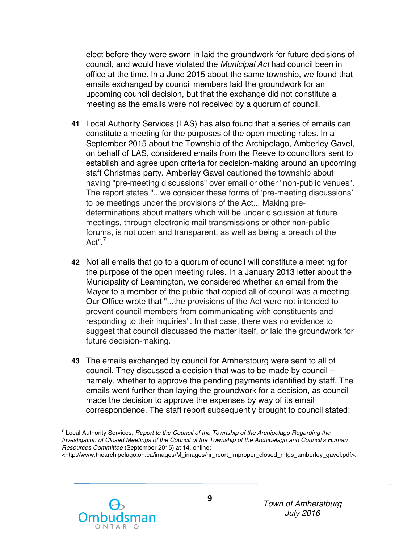elect before they were sworn in laid the groundwork for future decisions of council, and would have violated the *Municipal Act* had council been in office at the time. In a June 2015 about the same township, we found that emails exchanged by council members laid the groundwork for an upcoming council decision, but that the exchange did not constitute a meeting as the emails were not received by a quorum of council.

- **41** Local Authority Services (LAS) has also found that a series of emails can constitute a meeting for the purposes of the open meeting rules. In a September 2015 about the Township of the Archipelago, Amberley Gavel, on behalf of LAS, considered emails from the Reeve to councillors sent to establish and agree upon criteria for decision-making around an upcoming staff Christmas party. Amberley Gavel cautioned the township about having "pre-meeting discussions" over email or other "non-public venues". The report states "...we consider these forms of 'pre-meeting discussions' to be meetings under the provisions of the Act... Making pre- determinations about matters which will be under discussion at future meetings, through electronic mail transmissions or other non-public forums, is not open and transparent, as well as being a breach of the Act".<sup>7</sup>
- **42** Not all emails that go to a quorum of council will constitute a meeting for the purpose of the open meeting rules. In a January 2013 letter about the Municipality of Leamington, we considered whether an email from the Mayor to a member of the public that copied all of council was a meeting. Our Office wrote that "...the provisions of the Act were not intended to prevent council members from communicating with constituents and responding to their inquiries". In that case, there was no evidence to suggest that council discussed the matter itself, or laid the groundwork for future decision-making.
- **43** The emails exchanged by council for Amherstburg were sent to all of council. They discussed a decision that was to be made by council – namely, whether to approve the pending payments identified by staff. The emails went further than laying the groundwork for a decision, as council made the decision to approve the expenses by way of its email correspondence. The staff report subsequently brought to council stated:



 *Resources Committee* (September 2015) at 14, online: **<sup>7</sup>**Local Authority Services*, Report to the Council of the Township of the Archipelago Regarding the Investigation of Closed Meetings of the Council of the Township of the Archipelago and Council's Human* <http://www.thearchipelago.on.ca/images/M\_images/hr\_reort\_improper\_closed\_mtgs\_amberley\_gavel.pdf>.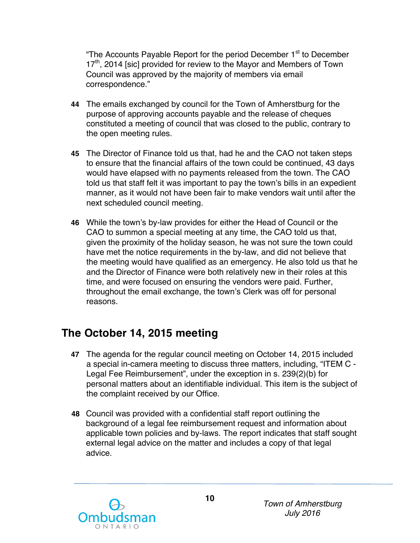"The Accounts Payable Report for the period December 1<sup>st</sup> to December  $17<sup>th</sup>$ , 2014 [sic] provided for review to the Mayor and Members of Town Council was approved by the majority of members via email correspondence."

- **44** The emails exchanged by council for the Town of Amherstburg for the purpose of approving accounts payable and the release of cheques constituted a meeting of council that was closed to the public, contrary to the open meeting rules.
- **45** The Director of Finance told us that, had he and the CAO not taken steps to ensure that the financial affairs of the town could be continued, 43 days would have elapsed with no payments released from the town. The CAO told us that staff felt it was important to pay the town's bills in an expedient manner, as it would not have been fair to make vendors wait until after the next scheduled council meeting.
- **46** While the town's by-law provides for either the Head of Council or the CAO to summon a special meeting at any time, the CAO told us that, given the proximity of the holiday season, he was not sure the town could have met the notice requirements in the by-law, and did not believe that the meeting would have qualified as an emergency. He also told us that he and the Director of Finance were both relatively new in their roles at this time, and were focused on ensuring the vendors were paid. Further, throughout the email exchange, the town's Clerk was off for personal reasons.

## **The October 14, 2015 meeting**

- **47** The agenda for the regular council meeting on October 14, 2015 included a special in-camera meeting to discuss three matters, including, "ITEM C - Legal Fee Reimbursement", under the exception in s. 239(2)(b) for personal matters about an identifiable individual. This item is the subject of the complaint received by our Office.
- **48** Council was provided with a confidential staff report outlining the background of a legal fee reimbursement request and information about applicable town policies and by-laws. The report indicates that staff sought external legal advice on the matter and includes a copy of that legal advice.

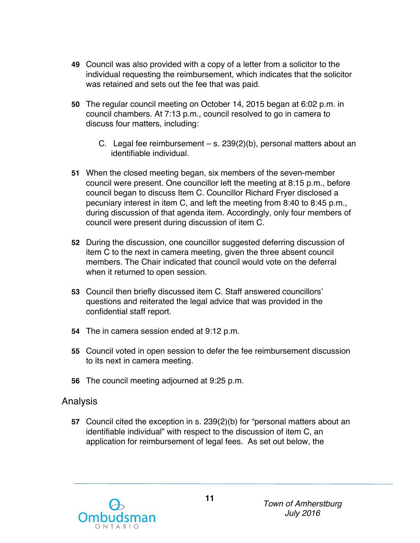- **49** Council was also provided with a copy of a letter from a solicitor to the individual requesting the reimbursement, which indicates that the solicitor was retained and sets out the fee that was paid.
- **50** The regular council meeting on October 14, 2015 began at 6:02 p.m. in council chambers. At 7:13 p.m., council resolved to go in camera to discuss four matters, including:
	- C. Legal fee reimbursement s. 239(2)(b), personal matters about an identifiable individual.
- **51** When the closed meeting began, six members of the seven-member council were present. One councillor left the meeting at 8:15 p.m., before council began to discuss Item C. Councillor Richard Fryer disclosed a pecuniary interest in item C, and left the meeting from 8:40 to 8:45 p.m., during discussion of that agenda item. Accordingly, only four members of council were present during discussion of item C.
- **52** During the discussion, one councillor suggested deferring discussion of item C to the next in camera meeting, given the three absent council members. The Chair indicated that council would vote on the deferral when it returned to open session.
- **53** Council then briefly discussed item C. Staff answered councillors' questions and reiterated the legal advice that was provided in the confidential staff report.
- **54** The in camera session ended at 9:12 p.m.
- **55** Council voted in open session to defer the fee reimbursement discussion to its next in camera meeting.
- **56** The council meeting adjourned at 9:25 p.m.

#### Analysis

 **57** Council cited the exception in s. 239(2)(b) for "personal matters about an identifiable individual" with respect to the discussion of item C, an application for reimbursement of legal fees. As set out below, the

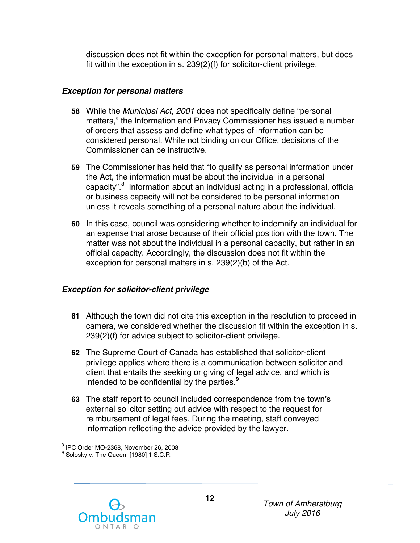discussion does not fit within the exception for personal matters, but does fit within the exception in s. 239(2)(f) for solicitor-client privilege.

#### *Exception for personal matters*

- **58** While the *Municipal Act*, *2001* does not specifically define "personal matters," the Information and Privacy Commissioner has issued a number of orders that assess and define what types of information can be considered personal. While not binding on our Office, decisions of the Commissioner can be instructive.
- **59** The Commissioner has held that "to qualify as personal information under the Act, the information must be about the individual in a personal capacity".<sup>8</sup> Information about an individual acting in a professional, official or business capacity will not be considered to be personal information unless it reveals something of a personal nature about the individual.
- **60** In this case, council was considering whether to indemnify an individual for an expense that arose because of their official position with the town. The matter was not about the individual in a personal capacity, but rather in an official capacity. Accordingly, the discussion does not fit within the exception for personal matters in s. 239(2)(b) of the Act.

#### *Exception for solicitor-client privilege*

- **61** Although the town did not cite this exception in the resolution to proceed in camera, we considered whether the discussion fit within the exception in s. 239(2)(f) for advice subject to solicitor-client privilege.
- **62** The Supreme Court of Canada has established that solicitor-client privilege applies where there is a communication between solicitor and client that entails the seeking or giving of legal advice, and which is intended to be confidential by the parties.**<sup>9</sup>**
- **63** The staff report to council included correspondence from the town's external solicitor setting out advice with respect to the request for reimbursement of legal fees. During the meeting, staff conveyed information reflecting the advice provided by the lawyer.

<sup>8</sup> IPC Order MO-2368, November 26, 2008 <sup>8</sup> IPC Order MO-2368, November 26, 2008<br><sup>9</sup> Solosky v. The Queen, [1980] 1 S.C.R.

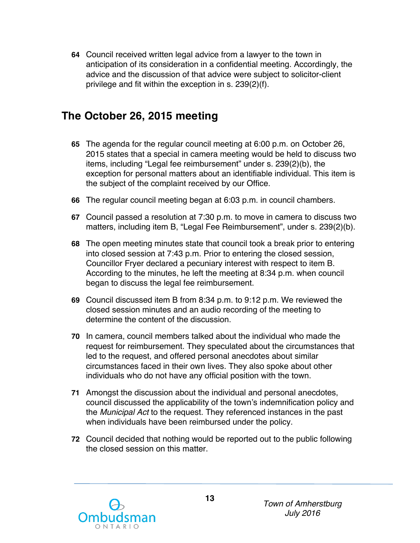**64** Council received written legal advice from a lawyer to the town in anticipation of its consideration in a confidential meeting. Accordingly, the advice and the discussion of that advice were subject to solicitor-client privilege and fit within the exception in s. 239(2)(f).

## **The October 26, 2015 meeting**

- **65** The agenda for the regular council meeting at 6:00 p.m. on October 26, 2015 states that a special in camera meeting would be held to discuss two items, including "Legal fee reimbursement" under s. 239(2)(b), the exception for personal matters about an identifiable individual. This item is the subject of the complaint received by our Office.
- **66** The regular council meeting began at 6:03 p.m. in council chambers.
- **67** Council passed a resolution at 7:30 p.m. to move in camera to discuss two matters, including item B, "Legal Fee Reimbursement", under s. 239(2)(b).
- **68** The open meeting minutes state that council took a break prior to entering into closed session at 7:43 p.m. Prior to entering the closed session, Councillor Fryer declared a pecuniary interest with respect to item B. According to the minutes, he left the meeting at 8:34 p.m. when council began to discuss the legal fee reimbursement.
- **69** Council discussed item B from 8:34 p.m. to 9:12 p.m. We reviewed the closed session minutes and an audio recording of the meeting to determine the content of the discussion.
- **70** In camera, council members talked about the individual who made the request for reimbursement. They speculated about the circumstances that led to the request, and offered personal anecdotes about similar circumstances faced in their own lives. They also spoke about other individuals who do not have any official position with the town.
- **71** Amongst the discussion about the individual and personal anecdotes, council discussed the applicability of the town's indemnification policy and the *Municipal Act* to the request. They referenced instances in the past when individuals have been reimbursed under the policy.
- **72** Council decided that nothing would be reported out to the public following the closed session on this matter.

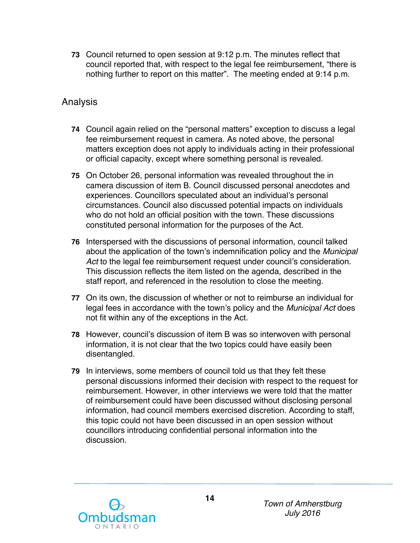**73** Council returned to open session at 9:12 p.m. The minutes reflect that council reported that, with respect to the legal fee reimbursement, "there is nothing further to report on this matter". The meeting ended at 9:14 p.m.

### Analysis

- **74** Council again relied on the "personal matters" exception to discuss a legal fee reimbursement request in camera. As noted above, the personal matters exception does not apply to individuals acting in their professional or official capacity, except where something personal is revealed.
- **75** On October 26, personal information was revealed throughout the in camera discussion of item B. Council discussed personal anecdotes and experiences. Councillors speculated about an individual's personal circumstances. Council also discussed potential impacts on individuals who do not hold an official position with the town. These discussions constituted personal information for the purposes of the Act.
- **76** Interspersed with the discussions of personal information, council talked about the application of the town's indemnification policy and the *Municipal Act* to the legal fee reimbursement request under council's consideration. This discussion reflects the item listed on the agenda, described in the staff report, and referenced in the resolution to close the meeting.
- **77** On its own, the discussion of whether or not to reimburse an individual for legal fees in accordance with the town's policy and the *Municipal Act* does not fit within any of the exceptions in the Act.
- **78** However, council's discussion of item B was so interwoven with personal information, it is not clear that the two topics could have easily been disentangled.
- **79** In interviews, some members of council told us that they felt these personal discussions informed their decision with respect to the request for reimbursement. However, in other interviews we were told that the matter of reimbursement could have been discussed without disclosing personal information, had council members exercised discretion. According to staff, this topic could not have been discussed in an open session without councillors introducing confidential personal information into the discussion.

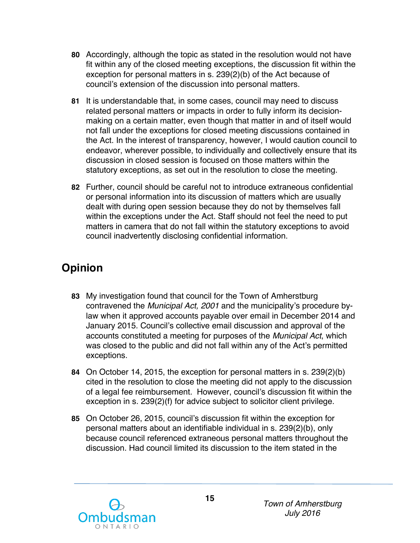- **80** Accordingly, although the topic as stated in the resolution would not have fit within any of the closed meeting exceptions, the discussion fit within the exception for personal matters in s. 239(2)(b) of the Act because of council's extension of the discussion into personal matters.
- **81** It is understandable that, in some cases, council may need to discuss related personal matters or impacts in order to fully inform its decision- making on a certain matter, even though that matter in and of itself would not fall under the exceptions for closed meeting discussions contained in the Act. In the interest of transparency, however, I would caution council to endeavor, wherever possible, to individually and collectively ensure that its discussion in closed session is focused on those matters within the statutory exceptions, as set out in the resolution to close the meeting.
- **82** Further, council should be careful not to introduce extraneous confidential or personal information into its discussion of matters which are usually dealt with during open session because they do not by themselves fall within the exceptions under the Act. Staff should not feel the need to put matters in camera that do not fall within the statutory exceptions to avoid council inadvertently disclosing confidential information.

# **Opinion**

- **83** My investigation found that council for the Town of Amherstburg contravened the *Municipal Act, 2001* and the municipality's procedure by- law when it approved accounts payable over email in December 2014 and January 2015. Council's collective email discussion and approval of the accounts constituted a meeting for purposes of the *Municipal Act*, which was closed to the public and did not fall within any of the Act's permitted exceptions.
- **84** On October 14, 2015, the exception for personal matters in s. 239(2)(b) cited in the resolution to close the meeting did not apply to the discussion of a legal fee reimbursement. However, council's discussion fit within the exception in s. 239(2)(f) for advice subject to solicitor client privilege.
- **85** On October 26, 2015, council's discussion fit within the exception for personal matters about an identifiable individual in s. 239(2)(b), only because council referenced extraneous personal matters throughout the discussion. Had council limited its discussion to the item stated in the

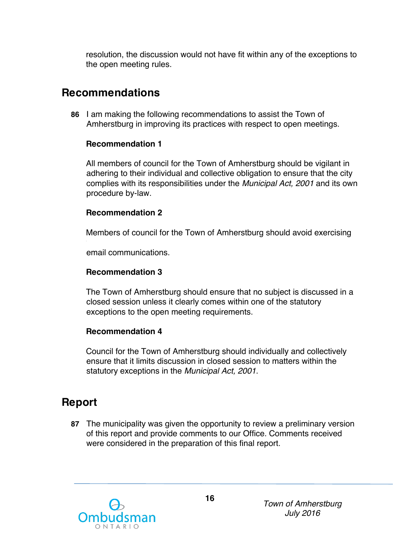resolution, the discussion would not have fit within any of the exceptions to the open meeting rules.

### **Recommendations**

 **86** I am making the following recommendations to assist the Town of Amherstburg in improving its practices with respect to open meetings.

#### **Recommendation 1**

 All members of council for the Town of Amherstburg should be vigilant in adhering to their individual and collective obligation to ensure that the city complies with its responsibilities under the *Municipal Act, 2001* and its own procedure by-law.

#### **Recommendation 2**

Members of council for the Town of Amherstburg should avoid exercising

email communications.

#### **Recommendation 3**

 The Town of Amherstburg should ensure that no subject is discussed in a closed session unless it clearly comes within one of the statutory exceptions to the open meeting requirements.

#### **Recommendation 4**

 Council for the Town of Amherstburg should individually and collectively ensure that it limits discussion in closed session to matters within the statutory exceptions in the *Municipal Act, 2001*.

## **Report**

 **87** The municipality was given the opportunity to review a preliminary version of this report and provide comments to our Office. Comments received were considered in the preparation of this final report.